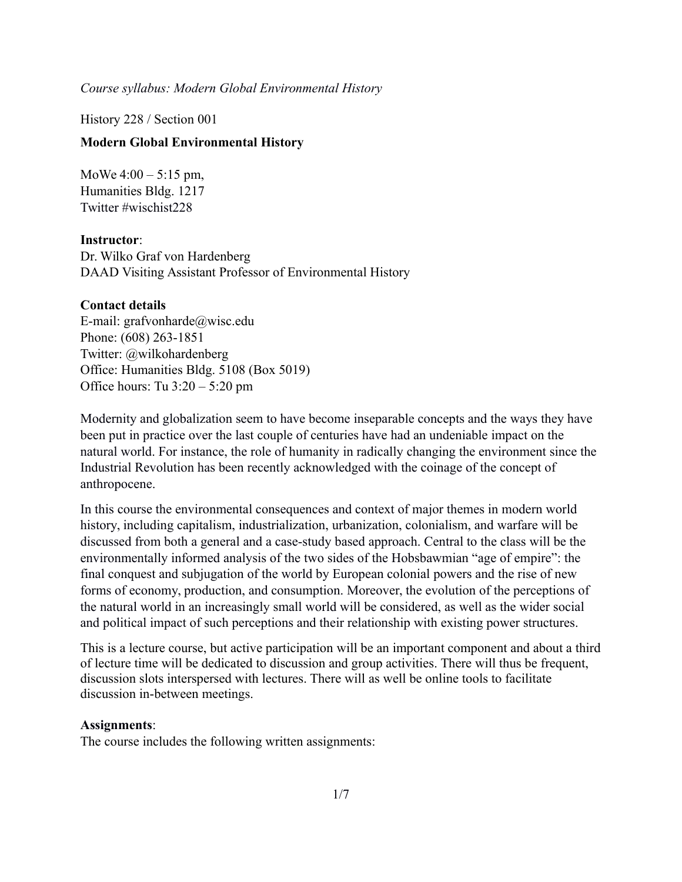History 228 / Section 001

#### **Modern Global Environmental History**

MoWe  $4:00 - 5:15$  pm, Humanities Bldg. 1217 Twitter #wischist228

**Instructor**:

Dr. Wilko Graf von Hardenberg DAAD Visiting Assistant Professor of Environmental History

#### **Contact details**

E-mail: [grafvonharde@wisc.edu](mailto:grafvonharde@wisc.edu) Phone: (608) 263-1851 Twitter: @wilkohardenberg Office: Humanities Bldg. 5108 (Box 5019) Office hours: Tu 3:20 – 5:20 pm

Modernity and globalization seem to have become inseparable concepts and the ways they have been put in practice over the last couple of centuries have had an undeniable impact on the natural world. For instance, the role of humanity in radically changing the environment since the Industrial Revolution has been recently acknowledged with the coinage of the concept of anthropocene.

In this course the environmental consequences and context of major themes in modern world history, including capitalism, industrialization, urbanization, colonialism, and warfare will be discussed from both a general and a case-study based approach. Central to the class will be the environmentally informed analysis of the two sides of the Hobsbawmian "age of empire": the final conquest and subjugation of the world by European colonial powers and the rise of new forms of economy, production, and consumption. Moreover, the evolution of the perceptions of the natural world in an increasingly small world will be considered, as well as the wider social and political impact of such perceptions and their relationship with existing power structures.

This is a lecture course, but active participation will be an important component and about a third of lecture time will be dedicated to discussion and group activities. There will thus be frequent, discussion slots interspersed with lectures. There will as well be online tools to facilitate discussion in-between meetings.

#### **Assignments**:

The course includes the following written assignments: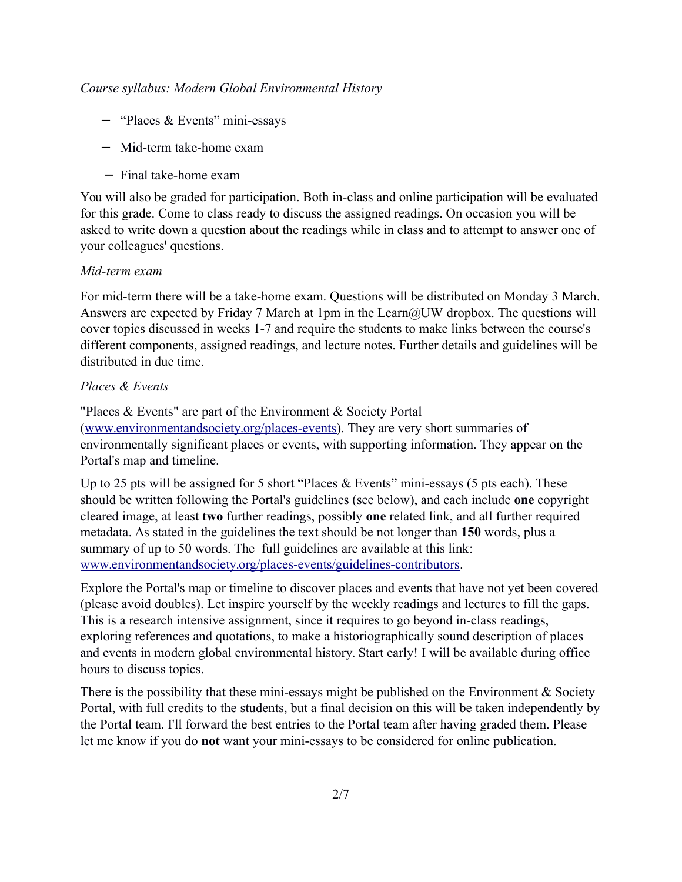- − "Places & Events" mini-essays
- − Mid-term take-home exam
- − Final take-home exam

You will also be graded for participation. Both in-class and online participation will be evaluated for this grade. Come to class ready to discuss the assigned readings. On occasion you will be asked to write down a question about the readings while in class and to attempt to answer one of your colleagues' questions.

#### *Mid-term exam*

For mid-term there will be a take-home exam. Questions will be distributed on Monday 3 March. Answers are expected by Friday 7 March at 1pm in the Learn@UW dropbox. The questions will cover topics discussed in weeks 1-7 and require the students to make links between the course's different components, assigned readings, and lecture notes. Further details and guidelines will be distributed in due time.

## *Places & Events*

"Places & Events" are part of the Environment & Society Portal [\(www.environmentandsociety.org/p](http://www.environmentandsociety.org/map)laces-events). They are very short summaries of environmentally significant places or events, with supporting information. They appear on the Portal's map and timeline.

Up to 25 pts will be assigned for 5 short "Places  $& Events$ " mini-essays (5 pts each). These should be written following the Portal's guidelines (see below), and each include **one** copyright cleared image, at least **two** further readings, possibly **one** related link, and all further required metadata. As stated in the guidelines the text should be not longer than **150** words, plus a summary of up to 50 words. The full guidelines are available at this link: [www.environmentandsociety.org/places-events/guidelines-contributors.](http://www.environmentandsociety.org/places-events/guidelines-contributors)

Explore the Portal's map or timeline to discover places and events that have not yet been covered (please avoid doubles). Let inspire yourself by the weekly readings and lectures to fill the gaps. This is a research intensive assignment, since it requires to go beyond in-class readings, exploring references and quotations, to make a historiographically sound description of places and events in modern global environmental history. Start early! I will be available during office hours to discuss topics.

There is the possibility that these mini-essays might be published on the Environment  $\&$  Society Portal, with full credits to the students, but a final decision on this will be taken independently by the Portal team. I'll forward the best entries to the Portal team after having graded them. Please let me know if you do **not** want your mini-essays to be considered for online publication.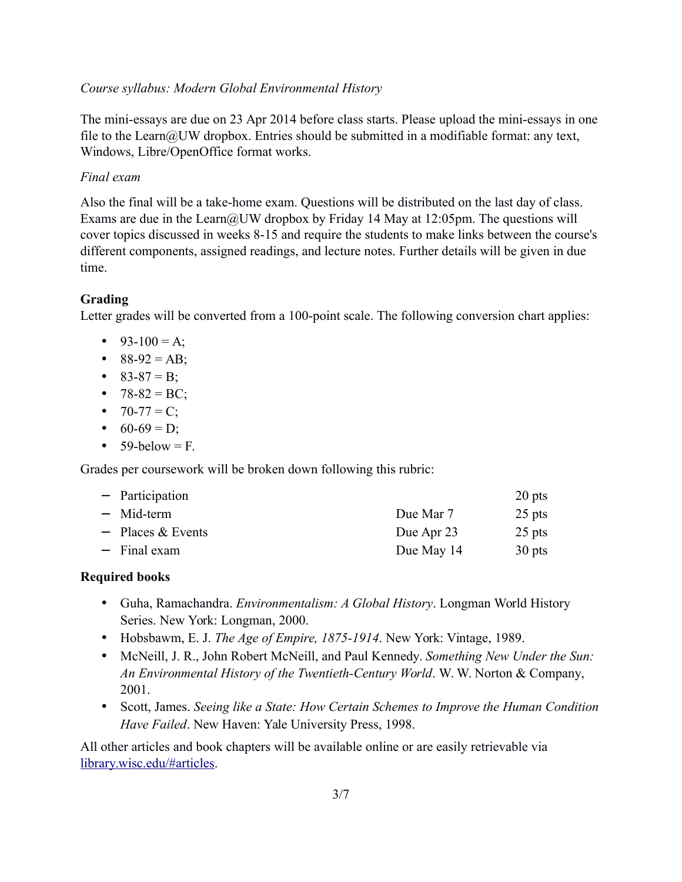The mini-essays are due on 23 Apr 2014 before class starts. Please upload the mini-essays in one file to the Learn@UW dropbox. Entries should be submitted in a modifiable format: any text, Windows, Libre/OpenOffice format works.

## *Final exam*

Also the final will be a take-home exam. Questions will be distributed on the last day of class. Exams are due in the Learn@UW dropbox by Friday 14 May at 12:05pm. The questions will cover topics discussed in weeks 8-15 and require the students to make links between the course's different components, assigned readings, and lecture notes. Further details will be given in due time.

## **Grading**

Letter grades will be converted from a 100-point scale. The following conversion chart applies:

- 93-100 = A;
- $88-92 = AB$ ;
- $83-87 = B$ ;
- $78-82 = BC$ ;
- $70-77 = C$ ;
- $60-69 = D$ ;
- $\bullet$  59-below = F.

Grades per coursework will be broken down following this rubric:

| - Participation     |            | 20 pts |
|---------------------|------------|--------|
| - Mid-term          | Due Mar 7  | 25 pts |
| $-$ Places & Events | Due Apr 23 | 25 pts |
| $-$ Final exam      | Due May 14 | 30 pts |

## **Required books**

- Guha, Ramachandra. *Environmentalism: A Global History*. Longman World History Series. New York: Longman, 2000.
- Hobsbawm, E. J. *The Age of Empire, 1875-1914*. New York: Vintage, 1989.
- McNeill, J. R., John Robert McNeill, and Paul Kennedy. *Something New Under the Sun: An Environmental History of the Twentieth-Century World*. W. W. Norton & Company, 2001.
- Scott, James. *Seeing like a State: How Certain Schemes to Improve the Human Condition Have Failed*. New Haven: Yale University Press, 1998.

All other articles and book chapters will be available online or are easily retrievable via [library.wisc.edu/#articles.](http://library.wisc.edu/#articles)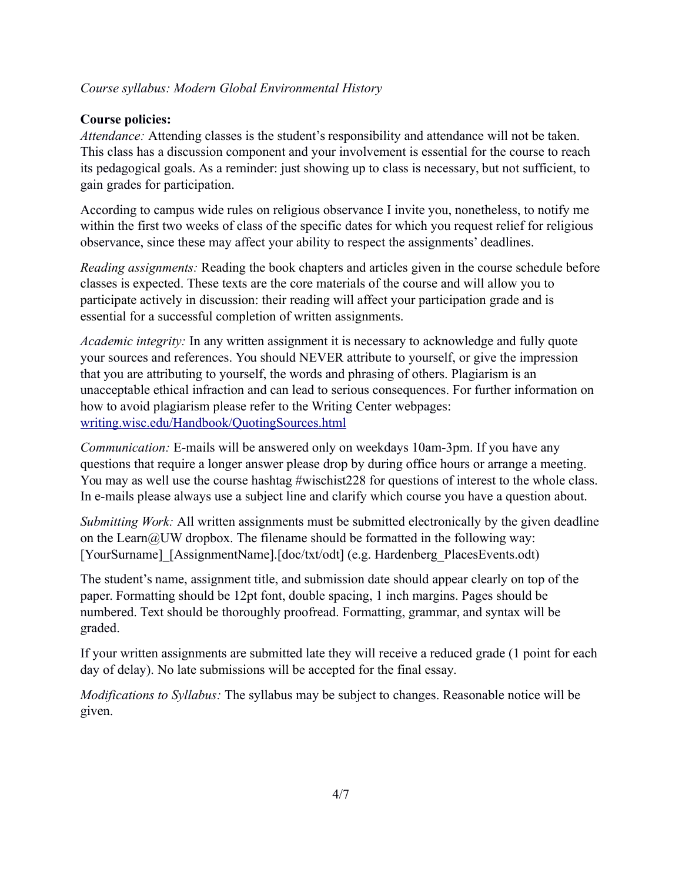## **Course policies:**

*Attendance:* Attending classes is the student's responsibility and attendance will not be taken. This class has a discussion component and your involvement is essential for the course to reach its pedagogical goals. As a reminder: just showing up to class is necessary, but not sufficient, to gain grades for participation.

According to campus wide rules on religious observance I invite you, nonetheless, to notify me within the first two weeks of class of the specific dates for which you request relief for religious observance, since these may affect your ability to respect the assignments' deadlines.

*Reading assignments:* Reading the book chapters and articles given in the course schedule before classes is expected. These texts are the core materials of the course and will allow you to participate actively in discussion: their reading will affect your participation grade and is essential for a successful completion of written assignments.

*Academic integrity:* In any written assignment it is necessary to acknowledge and fully quote your sources and references. You should NEVER attribute to yourself, or give the impression that you are attributing to yourself, the words and phrasing of others. Plagiarism is an unacceptable ethical infraction and can lead to serious consequences. For further information on how to avoid plagiarism please refer to the Writing Center webpages: [writing.wisc.edu/Handbook/QuotingSources.html](http://writing.wisc.edu/Handbook/QuotingSources.html)

*Communication:* E-mails will be answered only on weekdays 10am-3pm. If you have any questions that require a longer answer please drop by during office hours or arrange a meeting. You may as well use the course hashtag #wischist228 for questions of interest to the whole class. In e-mails please always use a subject line and clarify which course you have a question about.

*Submitting Work:* All written assignments must be submitted electronically by the given deadline on the Learn $@UW$  dropbox. The filename should be formatted in the following way: [YourSurname]\_[AssignmentName].[doc/txt/odt] (e.g. Hardenberg\_PlacesEvents.odt)

The student's name, assignment title, and submission date should appear clearly on top of the paper. Formatting should be 12pt font, double spacing, 1 inch margins. Pages should be numbered. Text should be thoroughly proofread. Formatting, grammar, and syntax will be graded.

If your written assignments are submitted late they will receive a reduced grade (1 point for each day of delay). No late submissions will be accepted for the final essay.

*Modifications to Syllabus:* The syllabus may be subject to changes. Reasonable notice will be given.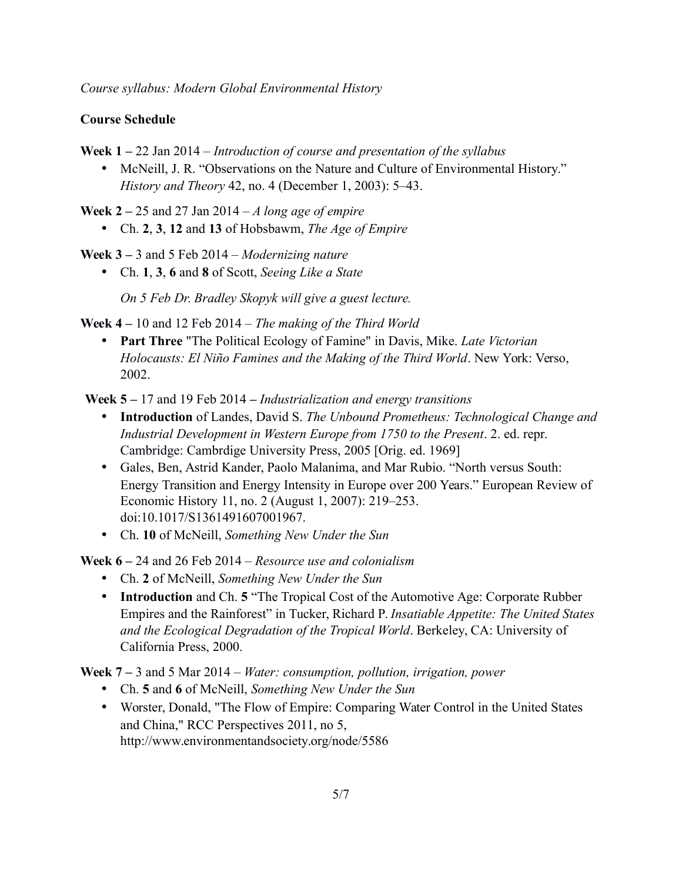## **Course Schedule**

**Week 1 –** 22 Jan 2014 – *Introduction of course and presentation of the syllabus* 

• McNeill, J. R. "Observations on the Nature and Culture of Environmental History." *History and Theory* 42, no. 4 (December 1, 2003): 5–43.

**Week 2 –** 25 and 27 Jan 2014 – *A long age of empire*

• Ch. **2**, **3**, **12** and **13** of Hobsbawm, *The Age of Empire*

**Week 3 –** 3 and 5 Feb 2014 – *Modernizing nature*

• Ch. **1**, **3**, **6** and **8** of Scott, *Seeing Like a State*

*On 5 Feb Dr. Bradley Skopyk will give a guest lecture.*

**Week 4 –** 10 and 12 Feb 2014 – *The making of the Third World*

• **Part Three** "The Political Ecology of Famine" in Davis, Mike. *Late Victorian Holocausts: El Niño Famines and the Making of the Third World*. New York: Verso, 2002.

**Week 5 –** 17 and 19 Feb 2014 **–** *Industrialization and energy transitions*

- **Introduction** of Landes, David S. *The Unbound Prometheus: Technological Change and Industrial Development in Western Europe from 1750 to the Present*. 2. ed. repr. Cambridge: Cambrdige University Press, 2005 [Orig. ed. 1969]
- Gales, Ben, Astrid Kander, Paolo Malanima, and Mar Rubio. "North versus South: Energy Transition and Energy Intensity in Europe over 200 Years." European Review of Economic History 11, no. 2 (August 1, 2007): 219–253. doi:10.1017/S1361491607001967.
- Ch. **10** of McNeill, *Something New Under the Sun*

**Week 6 –** 24 and 26 Feb 2014 *– Resource use and colonialism*

- Ch. **2** of McNeill, *Something New Under the Sun*
- **Introduction** and Ch. **5** "The Tropical Cost of the Automotive Age: Corporate Rubber Empires and the Rainforest" in Tucker, Richard P. *Insatiable Appetite: The United States and the Ecological Degradation of the Tropical World*. Berkeley, CA: University of California Press, 2000.

**Week 7 –** 3 and 5 Mar 2014 – *Water: consumption, pollution, irrigation, power*

- Ch. **5** and **6** of McNeill, *Something New Under the Sun*
- Worster, Donald, "The Flow of Empire: Comparing Water Control in the United States and China," RCC Perspectives 2011, no 5, <http://www.environmentandsociety.org/node/5586>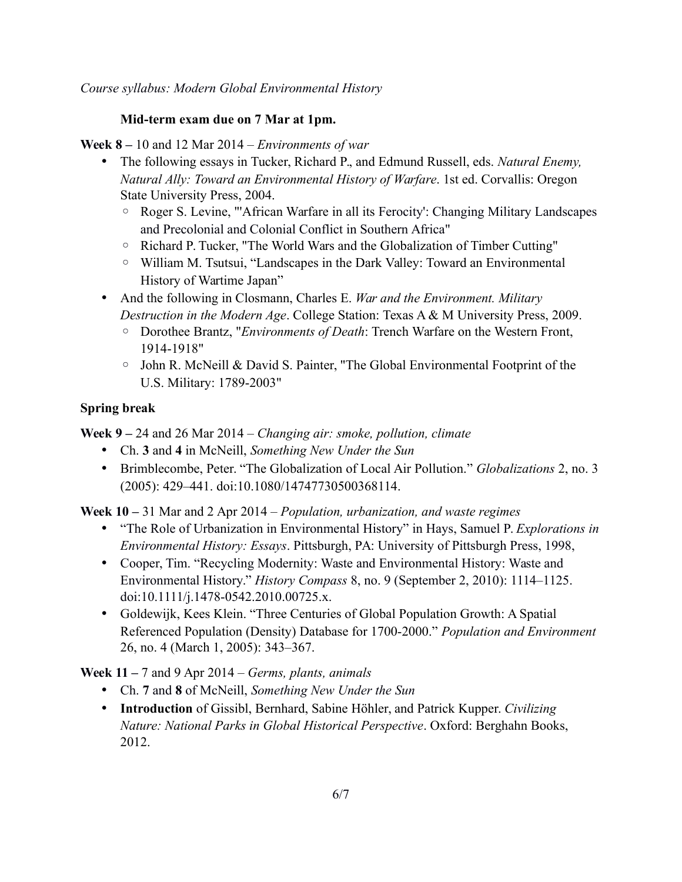## **Mid-term exam due on 7 Mar at 1pm.**

**Week 8 –** 10 and 12 Mar 2014 – *Environments of war*

- The following essays in Tucker, Richard P., and Edmund Russell, eds. *Natural Enemy, Natural Ally: Toward an Environmental History of Warfare*. 1st ed. Corvallis: Oregon State University Press, 2004.
	- Roger S. Levine, "'African Warfare in all its Ferocity': Changing Military Landscapes and Precolonial and Colonial Conflict in Southern Africa"
	- Richard P. Tucker, "The World Wars and the Globalization of Timber Cutting"
	- William M. Tsutsui, "Landscapes in the Dark Valley: Toward an Environmental History of Wartime Japan"
- And the following in Closmann, Charles E. *War and the Environment. Military Destruction in the Modern Age*. College Station: Texas A & M University Press, 2009.
	- Dorothee Brantz, "*Environments of Death*: Trench Warfare on the Western Front, 1914-1918"
	- John R. McNeill & David S. Painter, "The Global Environmental Footprint of the U.S. Military: 1789-2003"

# **Spring break**

**Week 9 –** 24 and 26 Mar 2014 – *Changing air: smoke, pollution, climate*

- Ch. **3** and **4** in McNeill, *Something New Under the Sun*
- Brimblecombe, Peter. "The Globalization of Local Air Pollution." *Globalizations* 2, no. 3 (2005): 429–441. doi:10.1080/14747730500368114.

**Week 10 –** 31 Mar and 2 Apr 2014 – *Population, urbanization, and waste regimes*

- "The Role of Urbanization in Environmental History" in Hays, Samuel P. *Explorations in Environmental History: Essays*. Pittsburgh, PA: University of Pittsburgh Press, 1998,
- Cooper, Tim. "Recycling Modernity: Waste and Environmental History: Waste and Environmental History." *History Compass* 8, no. 9 (September 2, 2010): 1114–1125. doi:10.1111/j.1478-0542.2010.00725.x.
- Goldewijk, Kees Klein. "Three Centuries of Global Population Growth: A Spatial Referenced Population (Density) Database for 1700-2000." *Population and Environment* 26, no. 4 (March 1, 2005): 343–367.

**Week 11 –** 7 and 9 Apr 2014 – *Germs, plants, animals*

- Ch. **7** and **8** of McNeill, *Something New Under the Sun*
- **Introduction** of Gissibl, Bernhard, Sabine Höhler, and Patrick Kupper. *Civilizing Nature: National Parks in Global Historical Perspective*. Oxford: Berghahn Books, 2012.